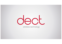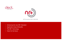



**(ETSI standard DECT-2020 NR)**

- Introducing the new NR+ Standard
- Application Areas & Benefits
- The NR+ Technology
- Vision for the future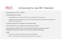

# Introducing the new NR+ Standard

- Developed by ETSI TC-DECT
- Initial Application Areas :
	- IoT applications such as Smart Cities and Industrial IoT (Industry 4.0)
	- Professional Audio applications such as Program Making & Special Events (PMSE) and Unified Communications
- Ongoing roadmap to include more market areas
- The world's first non-cellular 5G technology standard
- Recognized by WP5D of the International Telecommunication Union's Radiocommunication Sector (ITU-R) as IMT-2020 technology
- Note:
	- In ETSI the standard is referred to as DECT-2020 NR
	- DECT Forum will promote the standard under the name NR+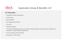

## Application Areas & Benefits: IoT

#### **IoT Benefits :**

- Infrastructure-less architecture
- Autonomous
- Decentralized
- No single-point-of-failure
- Low cost
- Simple to deploy
- The first 5G technology which can support shared spectrum operation and multiple local networks in mobile system frequencies
- Free of charge and licence-free
- Dedicated 1,9 GHz band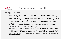

## Application Areas & Benefits: IoT

#### **IoT applications :**

- **Smart Cities :** One of the World's frontiers in the battle to combat Climate Change. Smart Cities will reduce carbon emissions using an array of applications such as; traffic management, finding parking spaces, optimizing refuse collection and street lighting, smart energy storage etc., All of these applications require remote sensor & control (IoT) solutions connected through a network to control centers. NR+ has been designed to incorporate highly reliable high-performance wireless mesh networking, that will make deployment of such massive machine-type communication possible and practicable.
- **Industrial IoT (Industry 4.0)** : One of the key technologies that will enable the new industrial revolution (4.0) is Ultra-Reliable Low Latency IoT solutions for industry, that will be able to orchestrate unmanned operations across huge factory floors and warehouses. Bringing together DECT's historic ability to send and receive messages with microsecondsynchronism with NR+'s lower latency and IoT capabilities, opens up great opportunities in this industrial sector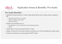

# Application Areas & Benefits: Pro-Audio

#### **Pro-Audio Benefits :**

- Significant improvements in indoor radio performance and in large arenas, stadiums etc.
	- Adding Forward Error Correction
	- Better Multipath performance
	- Better sensitivity
- Higher user densities (2-4 x)
	- Re-designed 1/2 slot configuration that prioritizes payload
	- MIMO
- Audio latency (one-way) approaching 2 msec
- Higher bit rates (for the same density) providing up to 24-bit professional quality audio
- Access to territories not supporting the DECT band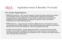

# Application Areas & Benefits: Pro-Audio

#### **Pro-Audio Applications :**

- **PMSE Microphones**: NR+ has been designed to deliver the higher performance required for microphones used by touring bands, recording studios, theatres and broadcasting (including electronic news gathering). The use of NR+ for performance microphones will facilitate the ever-increasing demand for wireless microphones in all live & recorded entertainment and media streaming sectors.
- **PMSE Intercom :** already deployed with DECT, PMSE Intercoms will benefits from higher user densities and the ability to deploy in other IMT2020 frequencies as special touring events (sporting, rock tours & music festivals etc.) need to be deployed world-wide
- **Unified Communication :** already deployed with DECT, in the post-Covid world, large business communication installations will require even more over-the-air communication as work habits change to more flexible work arrangements. NR+ will deliver even higher density of users and better indoor performance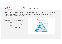

- NR+ (DECT-2020 NR) meets the IMT-2020 requirements of Ultra Reliable Low Latency Communications (URLLC) and massive Machine Type Communications (mMTC)
- Modern radio technology:
	- OFDM
	- Efficient channel coding
	- HARQ
	- High-level modulation

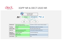

### 3GPP NR & DECT-2020 NR

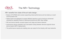

NR+ benefits from state-of-the-art radio design:

- Modern CP-OFDM radio access supporting robust performance and low latency on each communication link.
- Higher layers are designed to support efficient spectrum use by having an advanced coexistence capability thanks to optimized physical and MAC layer design
- NW and device identity concept support very large and dense networks
- Autonomous device operation and cost-based routing between devices supports future device based mMTC deployments
- The performance results are enabling new use cases for the industry with local networks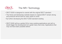

- DECT-2020 is designed to coexist with the original DECT standard
- The Home and Enterprise markets based on original DECT remain strong and products will be sold for many years to come
- By further developing the DECT-2020 standard existing
- DECT-2020 will be a perfect fit for many existing applications and will no doubt trigger the development of a great many new ones. Applications that may not have been possible before.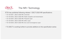

ETSI has published following release 1 DECT-2020 NR specifications:

- TS 103 636-1, DECT-2020 NR, Overview
- TS 103 636-2, DECT-2020 NR, Radio reception and transmission
- TS 103 636-3, DECT-2020 NR, Physical Layer
- TS 103 636-4, DECT-2020 NR, MAC Layer
- TS 103 636-5, DECT-2020 NR, DLC and Convergence Layer
- TC-DECT is working further to provide additions to this specification series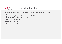

## Vision for the future

Future evolution of the standard will enable other applications such as:

- Enterprise: high-quality audio, messaging, positioning
- Healthcare (institutional and home)
- Building automation
- Process automation
- Residential and Smart Home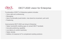

## DECT-2020 vision for Enterprise

Functionality of DECT in Enterprise systems includes:

- Voice calls and conferencing
- Messaging
- Alarm functionality (push-button, man-down/no-movement, pull cord)
- Positioning

Improvements DECT-2020 can bring to Enterprise:

- Higher bandwidth enabling apps on (smart) DECT handsets
- Accurate positioning capability
- Low latency to control machinery
- Higher density
- Addition of (massive) IoT to complement existing solutions